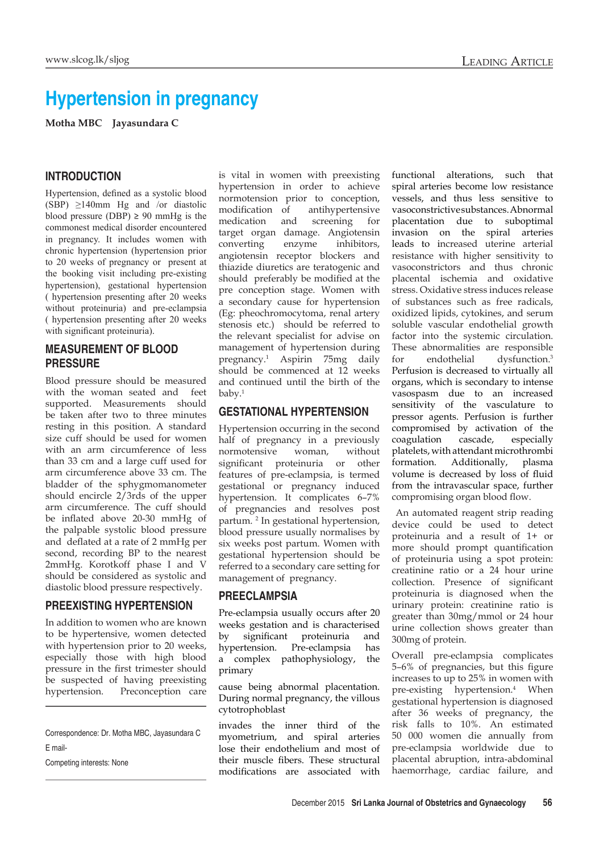# **Hypertension in pregnancy**

**Motha MBC Jayasundara C**

#### **INTRODUCTION**

Hypertension, defined as a systolic blood (SBP)  $\geq$ 140mm Hg and /or diastolic blood pressure (DBP)  $\geq$  90 mmHg is the commonest medical disorder encountered in pregnancy. It includes women with chronic hypertension (hypertension prior to 20 weeks of pregnancy or present at the booking visit including pre-existing hypertension), gestational hypertension ( hypertension presenting after 20 weeks without proteinuria) and pre-eclampsia ( hypertension presenting after 20 weeks with significant proteinuria).

# **MEASUREMENT OF BLOOD PRESSURE**

Blood pressure should be measured with the woman seated and feet supported. Measurements should be taken after two to three minutes resting in this position. A standard size cuff should be used for women with an arm circumference of less than 33 cm and a large cuff used for arm circumference above 33 cm. The bladder of the sphygmomanometer should encircle 2/3rds of the upper arm circumference. The cuff should be inflated above 20-30 mmHg of the palpable systolic blood pressure and deflated at a rate of 2 mmHg per second, recording BP to the nearest 2mmHg. Korotkoff phase I and V should be considered as systolic and diastolic blood pressure respectively.

#### **PREEXISTING HYPERTENSION**

In addition to women who are known to be hypertensive, women detected with hypertension prior to 20 weeks, especially those with high blood pressure in the first trimester should be suspected of having preexisting hypertension. Preconception care

Competing interests: None

is vital in women with preexisting hypertension in order to achieve normotension prior to conception,<br>modification of antihypertensive antihypertensive medication and screening for target organ damage. Angiotensin converting enzyme inhibitors, angiotensin receptor blockers and thiazide diuretics are teratogenic and should preferably be modified at the pre conception stage. Women with a secondary cause for hypertension (Eg: pheochromocytoma, renal artery stenosis etc.) should be referred to the relevant specialist for advise on management of hypertension during pregnancy.1 Aspirin 75mg daily should be commenced at 12 weeks and continued until the birth of the baby.1

#### **GESTATIONAL HYPERTENSION**

Hypertension occurring in the second half of pregnancy in a previously normotensive woman, without significant proteinuria or other features of pre-eclampsia, is termed gestational or pregnancy induced hypertension. It complicates 6–7% of pregnancies and resolves post partum. 2 In gestational hypertension, blood pressure usually normalises by six weeks post partum. Women with gestational hypertension should be referred to a secondary care setting for management of pregnancy.

#### **PREECLAMPSIA**

Pre-eclampsia usually occurs after 20 weeks gestation and is characterised by significant proteinuria and hypertension. Pre-eclampsia has a complex pathophysiology, the primary

cause being abnormal placentation. During normal pregnancy, the villous cytotrophoblast

invades the inner third of the myometrium, and spiral arteries lose their endothelium and most of their muscle fibers. These structural modifications are associated with functional alterations, such that spiral arteries become low resistance vessels, and thus less sensitive to vasoconstrictive substances. Abnormal placentation due to suboptimal invasion on the spiral arteries leads to increased uterine arterial resistance with higher sensitivity to vasoconstrictors and thus chronic placental ischemia and oxidative stress. Oxidative stress induces release of substances such as free radicals, oxidized lipids, cytokines, and serum soluble vascular endothelial growth factor into the systemic circulation. These abnormalities are responsible for endothelial dysfunction.3 Perfusion is decreased to virtually all organs, which is secondary to intense vasospasm due to an increased sensitivity of the vasculature to pressor agents. Perfusion is further compromised by activation of the coagulation cascade, especially platelets, with attendant microthrombi formation. Additionally, plasma volume is decreased by loss of fluid from the intravascular space, further compromising organ blood flow.

 An automated reagent strip reading device could be used to detect proteinuria and a result of 1+ or more should prompt quantification of proteinuria using a spot protein: creatinine ratio or a 24 hour urine collection. Presence of significant proteinuria is diagnosed when the urinary protein: creatinine ratio is greater than 30mg/mmol or 24 hour urine collection shows greater than 300mg of protein.

Overall pre-eclampsia complicates 5–6% of pregnancies, but this figure increases to up to 25% in women with pre-existing hypertension.<sup>4</sup> When gestational hypertension is diagnosed after 36 weeks of pregnancy, the risk falls to 10%. An estimated 50 000 women die annually from pre-eclampsia worldwide due to placental abruption, intra-abdominal haemorrhage, cardiac failure, and

Correspondence: Dr. Motha MBC, Jayasundara C E mail-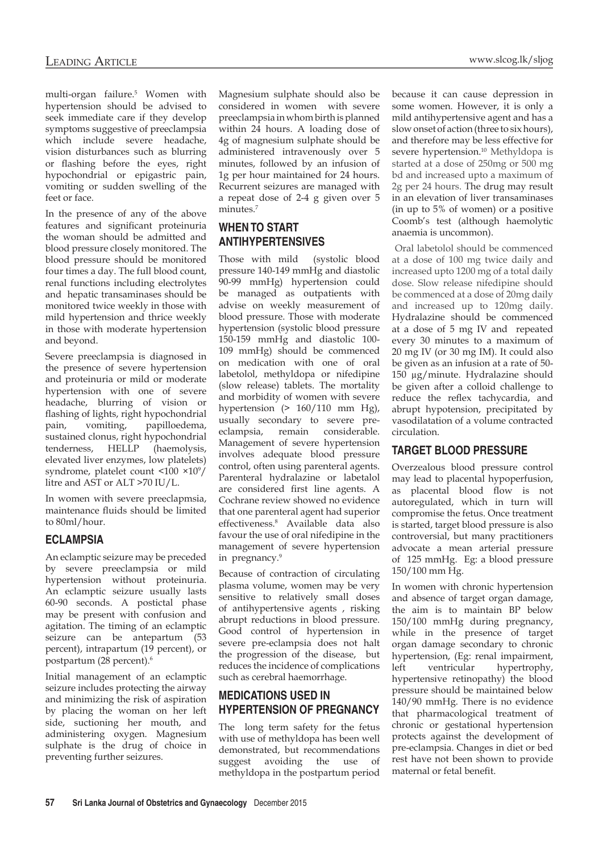multi-organ failure.<sup>5</sup> Women with hypertension should be advised to seek immediate care if they develop symptoms suggestive of preeclampsia which include severe headache, vision disturbances such as blurring or flashing before the eyes, right hypochondrial or epigastric pain, vomiting or sudden swelling of the feet or face.

In the presence of any of the above features and significant proteinuria the woman should be admitted and blood pressure closely monitored. The blood pressure should be monitored four times a day. The full blood count, renal functions including electrolytes and hepatic transaminases should be monitored twice weekly in those with mild hypertension and thrice weekly in those with moderate hypertension and beyond.

Severe preeclampsia is diagnosed in the presence of severe hypertension and proteinuria or mild or moderate hypertension with one of severe headache, blurring of vision or flashing of lights, right hypochondrial pain, vomiting, papilloedema, sustained clonus, right hypochondrial tenderness, HELLP (haemolysis, elevated liver enzymes, low platelets) syndrome, platelet count <100 ×10<sup>9</sup> / litre and AST or ALT >70 IU/L.

In women with severe preeclapmsia, maintenance fluids should be limited to 80ml/hour.

#### **ECLAMPSIA**

An eclamptic seizure may be preceded by severe preeclampsia or mild hypertension without proteinuria. An eclamptic seizure usually lasts 60-90 seconds. A postictal phase may be present with confusion and agitation. The timing of an eclamptic seizure can be antepartum (53 percent), intrapartum (19 percent), or postpartum (28 percent).<sup>6</sup>

Initial management of an eclamptic seizure includes protecting the airway and minimizing the risk of aspiration by placing the woman on her left side, suctioning her mouth, and administering oxygen. Magnesium sulphate is the drug of choice in preventing further seizures.

Magnesium sulphate should also be considered in women with severe preeclampsia in whom birth is planned within 24 hours. A loading dose of 4g of magnesium sulphate should be administered intravenously over 5 minutes, followed by an infusion of 1g per hour maintained for 24 hours. Recurrent seizures are managed with a repeat dose of 2-4 g given over 5 minutes.7

# **WHEN TO START ANTIHYPERTENSIVES**

Those with mild (systolic blood pressure 140-149 mmHg and diastolic 90-99 mmHg) hypertension could be managed as outpatients with advise on weekly measurement of blood pressure. Those with moderate hypertension (systolic blood pressure 150-159 mmHg and diastolic 100- 109 mmHg) should be commenced on medication with one of oral labetolol, methyldopa or nifedipine (slow release) tablets. The mortality and morbidity of women with severe hypertension (> 160/110 mm Hg), usually secondary to severe preeclampsia, remain considerable. Management of severe hypertension involves adequate blood pressure control, often using parenteral agents. Parenteral hydralazine or labetalol are considered first line agents. A Cochrane review showed no evidence that one parenteral agent had superior effectiveness.8 Available data also favour the use of oral nifedipine in the management of severe hypertension in pregnancy.<sup>9</sup>

Because of contraction of circulating plasma volume, women may be very sensitive to relatively small doses of antihypertensive agents , risking abrupt reductions in blood pressure. Good control of hypertension in severe pre-eclampsia does not halt the progression of the disease, but reduces the incidence of complications such as cerebral haemorrhage.

# **MEDICATIONS USED IN HYPERTENSION OF PREGNANCY**

The long term safety for the fetus with use of methyldopa has been well demonstrated, but recommendations suggest avoiding the use of methyldopa in the postpartum period

because it can cause depression in some women. However, it is only a mild antihypertensive agent and has a slow onset of action (three to six hours), and therefore may be less effective for severe hypertension.<sup>10</sup> Methyldopa is started at a dose of 250mg or 500 mg bd and increased upto a maximum of 2g per 24 hours. The drug may result in an elevation of liver transaminases (in up to 5% of women) or a positive Coomb's test (although haemolytic anaemia is uncommon).

Oral labetolol should be commenced at a dose of 100 mg twice daily and increased upto 1200 mg of a total daily dose. Slow release nifedipine should be commenced at a dose of 20mg daily and increased up to 120mg daily. Hydralazine should be commenced at a dose of 5 mg IV and repeated every 30 minutes to a maximum of 20 mg IV (or 30 mg IM). It could also be given as an infusion at a rate of 50- 150 µg/minute. Hydralazine should be given after a colloid challenge to reduce the reflex tachycardia, and abrupt hypotension, precipitated by vasodilatation of a volume contracted circulation.

#### **TARGET BLOOD PRESSURE**

Overzealous blood pressure control may lead to placental hypoperfusion, as placental blood flow is not autoregulated, which in turn will compromise the fetus. Once treatment is started, target blood pressure is also controversial, but many practitioners advocate a mean arterial pressure of 125 mmHg. Eg: a blood pressure 150/100 mm Hg.

In women with chronic hypertension and absence of target organ damage, the aim is to maintain BP below 150/100 mmHg during pregnancy, while in the presence of target organ damage secondary to chronic hypertension, (Eg: renal impairment, left ventricular hypertrophy, hypertensive retinopathy) the blood pressure should be maintained below 140/90 mmHg. There is no evidence that pharmacological treatment of chronic or gestational hypertension protects against the development of pre-eclampsia. Changes in diet or bed rest have not been shown to provide maternal or fetal benefit.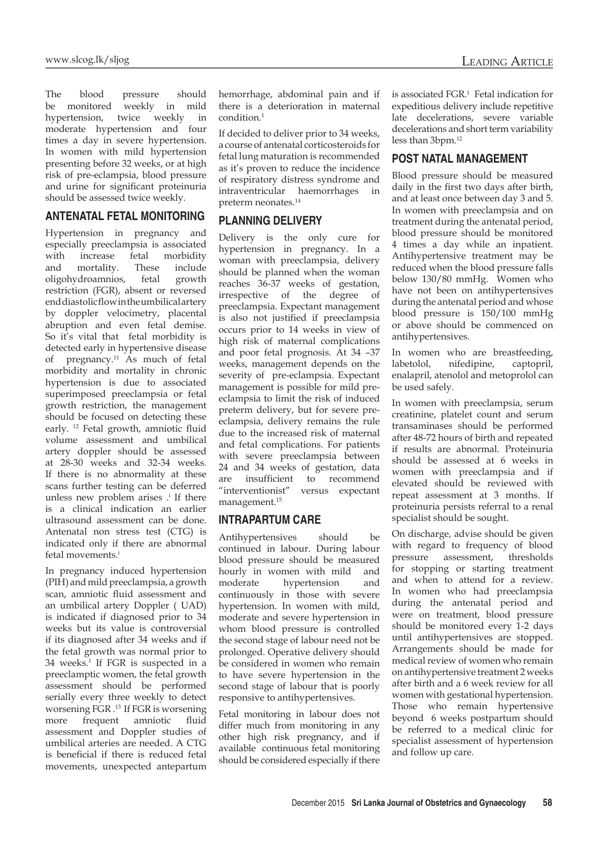The blood pressure should be monitored weekly in mild hypertension, twice weekly in moderate hypertension and four times a day in severe hypertension. In women with mild hypertension presenting before 32 weeks, or at high risk of pre-eclampsia, blood pressure and urine for significant proteinuria should be assessed twice weekly.

#### **ANTENATAL FETAL MONITORING**

Hypertension in pregnancy and especially preeclampsia is associated with increase fetal morbidity and mortality. These include oligohydroamnios, fetal growth restriction (FGR), absent or reversed end diastolic flow in the umbilical artery by doppler velocimetry, placental abruption and even fetal demise. So it's vital that fetal morbidity is detected early in hypertensive disease of pregnancy.11 As much of fetal morbidity and mortality in chronic hypertension is due to associated superimposed preeclampsia or fetal growth restriction, the management should be focused on detecting these early. 12 Fetal growth, amniotic fluid volume assessment and umbilical artery doppler should be assessed at 28-30 weeks and 32-34 weeks. If there is no abnormality at these scans further testing can be deferred unless new problem arises  $\cdot$ <sup>i</sup> If there is a clinical indication an earlier ultrasound assessment can be done. Antenatal non stress test (CTG) is indicated only if there are abnormal fetal movements.<sup>i</sup>

In pregnancy induced hypertension (PIH) and mild preeclampsia, a growth scan, amniotic fluid assessment and an umbilical artery Doppler ( UAD) is indicated if diagnosed prior to 34 weeks but its value is controversial if its diagnosed after 34 weeks and if the fetal growth was normal prior to 34 weeks.<sup>1</sup> If FGR is suspected in a preeclamptic women, the fetal growth assessment should be performed serially every three weekly to detect worsening FGR .13 If FGR is worsening more frequent amniotic fluid assessment and Doppler studies of umbilical arteries are needed. A CTG is beneficial if there is reduced fetal movements, unexpected antepartum

hemorrhage, abdominal pain and if there is a deterioration in maternal condition.1

If decided to deliver prior to 34 weeks, a course of antenatal corticosteroids for fetal lung maturation is recommended as it's proven to reduce the incidence of respiratory distress syndrome and intraventricular haemorrhages in preterm neonates.14

#### **PLANNING DELIVERY**

Delivery is the only cure for hypertension in pregnancy. In a woman with preeclampsia, delivery should be planned when the woman reaches 36-37 weeks of gestation, irrespective of the degree of preeclampsia. Expectant management is also not justified if preeclampsia occurs prior to 14 weeks in view of high risk of maternal complications and poor fetal prognosis. At 34 –37 weeks, management depends on the severity of pre-eclampsia. Expectant management is possible for mild preeclampsia to limit the risk of induced preterm delivery, but for severe preeclampsia, delivery remains the rule due to the increased risk of maternal and fetal complications. For patients with severe preeclampsia between 24 and 34 weeks of gestation, data are insufficient to recommend "interventionist" versus expectant management.15

# **INTRAPARTUM CARE**

Antihypertensives should be continued in labour. During labour blood pressure should be measured hourly in women with mild and moderate hypertension and continuously in those with severe hypertension. In women with mild, moderate and severe hypertension in whom blood pressure is controlled the second stage of labour need not be prolonged. Operative delivery should be considered in women who remain to have severe hypertension in the second stage of labour that is poorly responsive to antihypertensives.

Fetal monitoring in labour does not differ much from monitoring in any other high risk pregnancy, and if available continuous fetal monitoring should be considered especially if there

is associated FGR.1 Fetal indication for expeditious delivery include repetitive late decelerations, severe variable decelerations and short term variability less than 3bpm.12

## **POST NATAL MANAGEMENT**

Blood pressure should be measured daily in the first two days after birth, and at least once between day 3 and 5. In women with preeclampsia and on treatment during the antenatal period, blood pressure should be monitored 4 times a day while an inpatient. Antihypertensive treatment may be reduced when the blood pressure falls below 130/80 mmHg. Women who have not been on antihypertensives during the antenatal period and whose blood pressure is 150/100 mmHg or above should be commenced on antihypertensives.

In women who are breastfeeding, labetolol, nifedipine, captopril, enalapril, atenolol and metoprolol can be used safely.

In women with preeclampsia, serum creatinine, platelet count and serum transaminases should be performed after 48-72 hours of birth and repeated if results are abnormal. Proteinuria should be assessed at 6 weeks in women with preeclampsia and if elevated should be reviewed with repeat assessment at 3 months. If proteinuria persists referral to a renal specialist should be sought.

On discharge, advise should be given with regard to frequency of blood pressure assessment, thresholds for stopping or starting treatment and when to attend for a review. In women who had preeclampsia during the antenatal period and were on treatment, blood pressure should be monitored every 1-2 days until antihypertensives are stopped. Arrangements should be made for medical review of women who remain on antihypertensive treatment 2 weeks after birth and a 6 week review for all women with gestational hypertension. Those who remain hypertensive beyond 6 weeks postpartum should be referred to a medical clinic for specialist assessment of hypertension and follow up care.